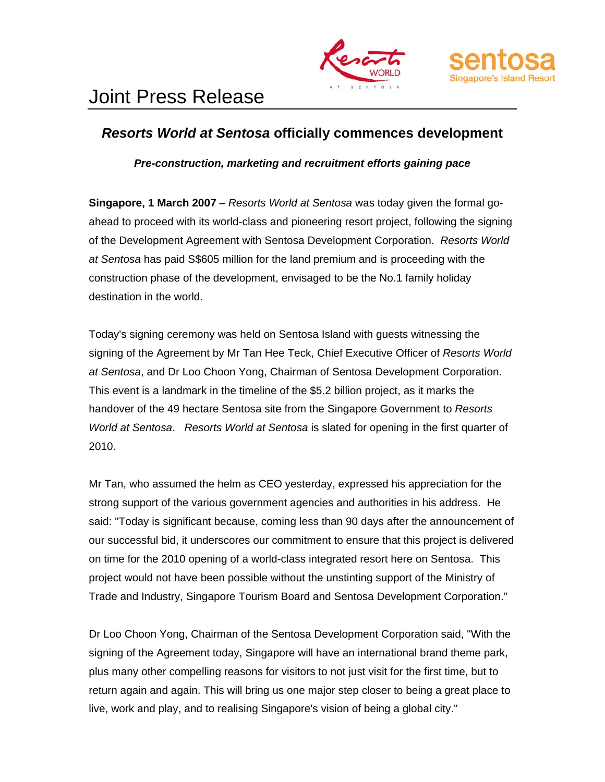



# Joint Press Release

# *Resorts World at Sentosa* **officially commences development**

*Pre-construction, marketing and recruitment efforts gaining pace* 

**Singapore, 1 March 2007** – *Resorts World at Sentosa* was today given the formal goahead to proceed with its world-class and pioneering resort project, following the signing of the Development Agreement with Sentosa Development Corporation. *Resorts World at Sentosa* has paid S\$605 million for the land premium and is proceeding with the construction phase of the development, envisaged to be the No.1 family holiday destination in the world.

Today's signing ceremony was held on Sentosa Island with guests witnessing the signing of the Agreement by Mr Tan Hee Teck, Chief Executive Officer of *Resorts World at Sentosa*, and Dr Loo Choon Yong, Chairman of Sentosa Development Corporation. This event is a landmark in the timeline of the \$5.2 billion project, as it marks the handover of the 49 hectare Sentosa site from the Singapore Government to *Resorts World at Sentosa*. *Resorts World at Sentosa* is slated for opening in the first quarter of 2010.

Mr Tan, who assumed the helm as CEO yesterday, expressed his appreciation for the strong support of the various government agencies and authorities in his address. He said: "Today is significant because, coming less than 90 days after the announcement of our successful bid, it underscores our commitment to ensure that this project is delivered on time for the 2010 opening of a world-class integrated resort here on Sentosa. This project would not have been possible without the unstinting support of the Ministry of Trade and Industry, Singapore Tourism Board and Sentosa Development Corporation."

Dr Loo Choon Yong, Chairman of the Sentosa Development Corporation said, "With the signing of the Agreement today, Singapore will have an international brand theme park, plus many other compelling reasons for visitors to not just visit for the first time, but to return again and again. This will bring us one major step closer to being a great place to live, work and play, and to realising Singapore's vision of being a global city."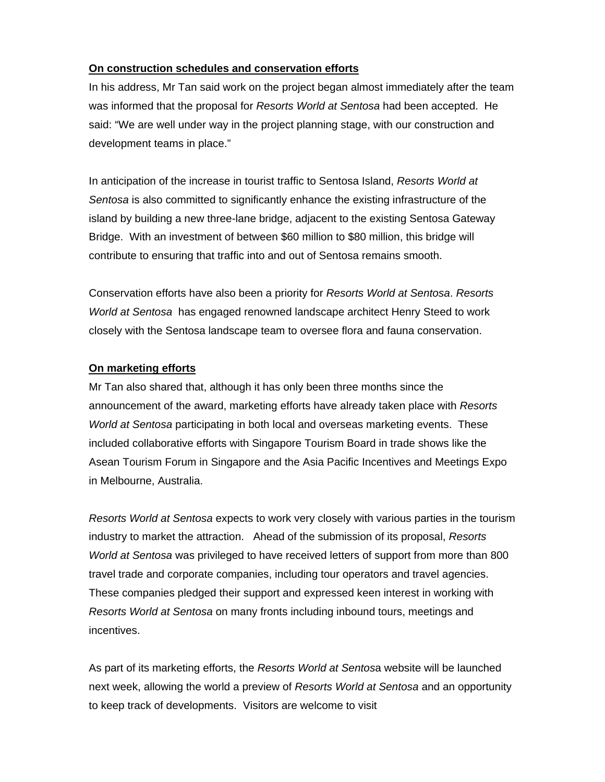### **On construction schedules and conservation efforts**

In his address, Mr Tan said work on the project began almost immediately after the team was informed that the proposal for *Resorts World at Sentosa* had been accepted. He said: "We are well under way in the project planning stage, with our construction and development teams in place."

In anticipation of the increase in tourist traffic to Sentosa Island, *Resorts World at Sentosa* is also committed to significantly enhance the existing infrastructure of the island by building a new three-lane bridge, adjacent to the existing Sentosa Gateway Bridge. With an investment of between \$60 million to \$80 million, this bridge will contribute to ensuring that traffic into and out of Sentosa remains smooth.

Conservation efforts have also been a priority for *Resorts World at Sentosa*. *Resorts World at Sentosa* has engaged renowned landscape architect Henry Steed to work closely with the Sentosa landscape team to oversee flora and fauna conservation.

## **On marketing efforts**

Mr Tan also shared that, although it has only been three months since the announcement of the award, marketing efforts have already taken place with *Resorts World at Sentosa* participating in both local and overseas marketing events. These included collaborative efforts with Singapore Tourism Board in trade shows like the Asean Tourism Forum in Singapore and the Asia Pacific Incentives and Meetings Expo in Melbourne, Australia.

*Resorts World at Sentosa* expects to work very closely with various parties in the tourism industry to market the attraction. Ahead of the submission of its proposal, *Resorts World at Sentosa* was privileged to have received letters of support from more than 800 travel trade and corporate companies, including tour operators and travel agencies. These companies pledged their support and expressed keen interest in working with *Resorts World at Sentosa* on many fronts including inbound tours, meetings and incentives.

As part of its marketing efforts, the *Resorts World at Sentos*a website will be launched next week, allowing the world a preview of *Resorts World at Sentosa* and an opportunity to keep track of developments. Visitors are welcome to visit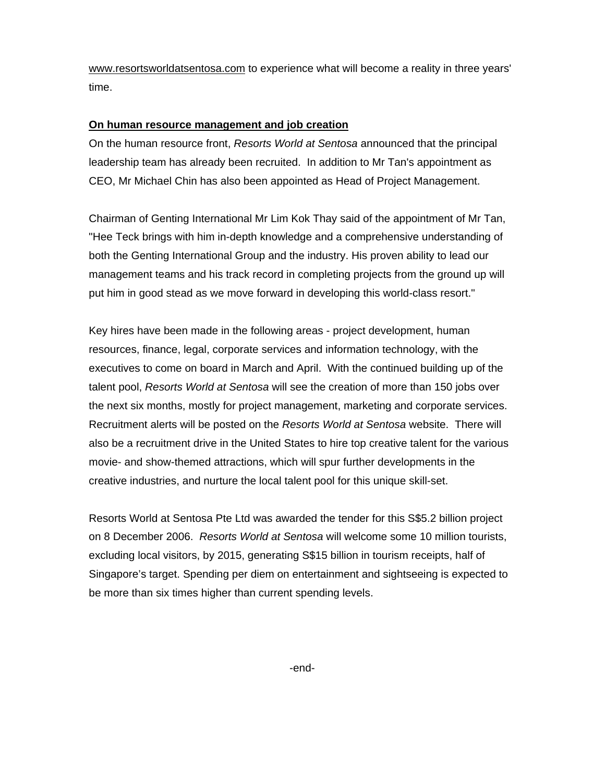www.resortsworldatsentosa.com to experience what will become a reality in three years' time.

#### **On human resource management and job creation**

On the human resource front, *Resorts World at Sentosa* announced that the principal leadership team has already been recruited. In addition to Mr Tan's appointment as CEO, Mr Michael Chin has also been appointed as Head of Project Management.

Chairman of Genting International Mr Lim Kok Thay said of the appointment of Mr Tan, "Hee Teck brings with him in-depth knowledge and a comprehensive understanding of both the Genting International Group and the industry. His proven ability to lead our management teams and his track record in completing projects from the ground up will put him in good stead as we move forward in developing this world-class resort."

Key hires have been made in the following areas - project development, human resources, finance, legal, corporate services and information technology, with the executives to come on board in March and April. With the continued building up of the talent pool, *Resorts World at Sentosa* will see the creation of more than 150 jobs over the next six months, mostly for project management, marketing and corporate services. Recruitment alerts will be posted on the *Resorts World at Sentosa* website. There will also be a recruitment drive in the United States to hire top creative talent for the various movie- and show-themed attractions, which will spur further developments in the creative industries, and nurture the local talent pool for this unique skill-set.

Resorts World at Sentosa Pte Ltd was awarded the tender for this S\$5.2 billion project on 8 December 2006. *Resorts World at Sentosa* will welcome some 10 million tourists, excluding local visitors, by 2015, generating S\$15 billion in tourism receipts, half of Singapore's target. Spending per diem on entertainment and sightseeing is expected to be more than six times higher than current spending levels.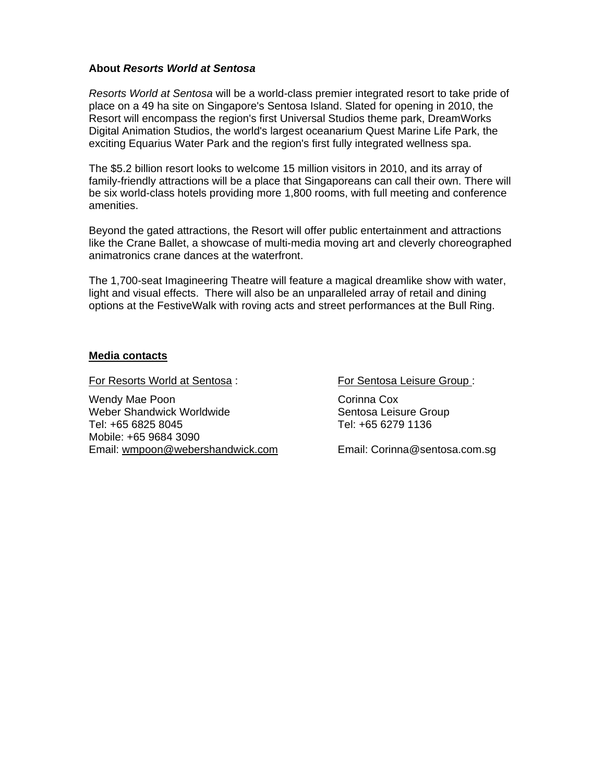#### **About** *Resorts World at Sentosa*

*Resorts World at Sentosa* will be a world-class premier integrated resort to take pride of place on a 49 ha site on Singapore's Sentosa Island. Slated for opening in 2010, the Resort will encompass the region's first Universal Studios theme park, DreamWorks Digital Animation Studios, the world's largest oceanarium Quest Marine Life Park, the exciting Equarius Water Park and the region's first fully integrated wellness spa.

The \$5.2 billion resort looks to welcome 15 million visitors in 2010, and its array of family-friendly attractions will be a place that Singaporeans can call their own. There will be six world-class hotels providing more 1,800 rooms, with full meeting and conference amenities.

Beyond the gated attractions, the Resort will offer public entertainment and attractions like the Crane Ballet, a showcase of multi-media moving art and cleverly choreographed animatronics crane dances at the waterfront.

The 1,700-seat Imagineering Theatre will feature a magical dreamlike show with water, light and visual effects. There will also be an unparalleled array of retail and dining options at the FestiveWalk with roving acts and street performances at the Bull Ring.

#### **Media contacts**

For Resorts World at Sentosa : For Sentosa Leisure Group :

Wendy Mae Poon **Community** Corinna Cox Weber Shandwick Worldwide<br>
Tel: +65 6825 8045<br>
Tel: +65 6279 1136 Mobile: +65 9684 3090 Email: wmpoon@webershandwick.com Email: Corinna@sentosa.com.sg

Tel: +65 6279 1136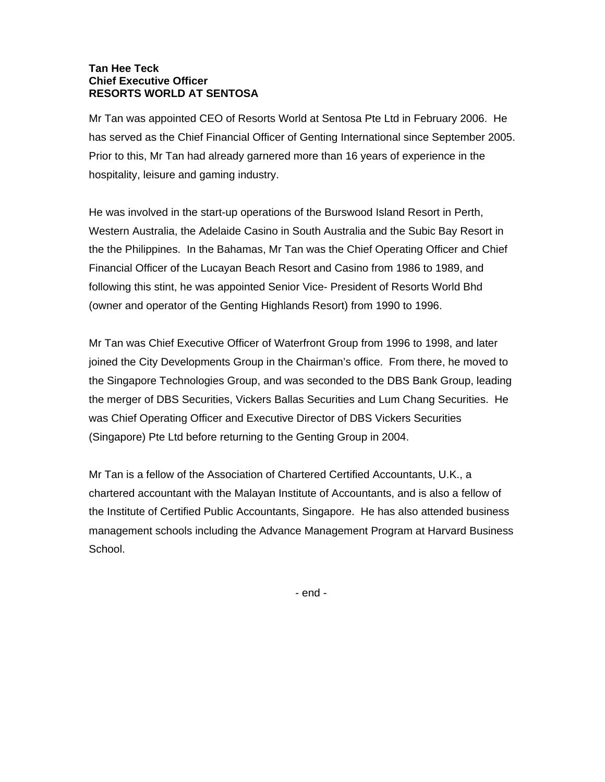#### **Tan Hee Teck Chief Executive Officer RESORTS WORLD AT SENTOSA**

Mr Tan was appointed CEO of Resorts World at Sentosa Pte Ltd in February 2006. He has served as the Chief Financial Officer of Genting International since September 2005. Prior to this, Mr Tan had already garnered more than 16 years of experience in the hospitality, leisure and gaming industry.

He was involved in the start-up operations of the Burswood Island Resort in Perth, Western Australia, the Adelaide Casino in South Australia and the Subic Bay Resort in the the Philippines. In the Bahamas, Mr Tan was the Chief Operating Officer and Chief Financial Officer of the Lucayan Beach Resort and Casino from 1986 to 1989, and following this stint, he was appointed Senior Vice- President of Resorts World Bhd (owner and operator of the Genting Highlands Resort) from 1990 to 1996.

Mr Tan was Chief Executive Officer of Waterfront Group from 1996 to 1998, and later joined the City Developments Group in the Chairman's office. From there, he moved to the Singapore Technologies Group, and was seconded to the DBS Bank Group, leading the merger of DBS Securities, Vickers Ballas Securities and Lum Chang Securities. He was Chief Operating Officer and Executive Director of DBS Vickers Securities (Singapore) Pte Ltd before returning to the Genting Group in 2004.

Mr Tan is a fellow of the Association of Chartered Certified Accountants, U.K., a chartered accountant with the Malayan Institute of Accountants, and is also a fellow of the Institute of Certified Public Accountants, Singapore. He has also attended business management schools including the Advance Management Program at Harvard Business School.

- end -